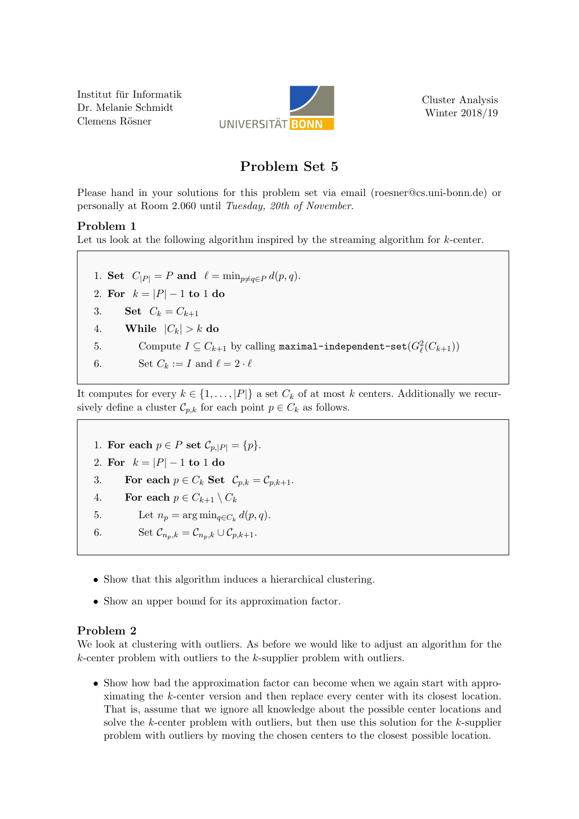Institut fur Informatik ¨ Dr. Melanie Schmidt Clemens Rösner



Cluster Analysis Winter 2018/19

## Problem Set 5

Please hand in your solutions for this problem set via email (roesner@cs.uni-bonn.de) or personally at Room 2.060 until Tuesday, 20th of November.

## Problem 1

Let us look at the following algorithm inspired by the streaming algorithm for  $k$ -center.

1. Set  $C_{|P|} = P$  and  $\ell = \min_{p \neq q \in P} d(p, q)$ . 2. For  $k = |P| - 1$  to 1 do 3. **Set**  $C_k = C_{k+1}$ 4. While  $|C_k| > k$  do 5. Compute  $I \subseteq C_{k+1}$  by calling maximal-independent-set $(G_{\ell}^2(C_{k+1}))$ 6. Set  $C_k := I$  and  $\ell = 2 \cdot \ell$ 

It computes for every  $k \in \{1, ..., |P|\}$  a set  $C_k$  of at most k centers. Additionally we recursively define a cluster  $\mathcal{C}_{p,k}$  for each point  $p \in C_k$  as follows.

1. For each  $p \in P$  set  $\mathcal{C}_{p,|P|} = \{p\}.$ 

```
2. For k = |P| - 1 to 1 do
```

```
3. For each p \in C_k Set \mathcal{C}_{p,k} = \mathcal{C}_{p,k+1}.
```

```
4. For each p \in C_{k+1} \setminus C_k
```

```
5. Let n_p = \arg \min_{q \in C_k} d(p, q).
```
6. Set  $\mathcal{C}_{n_p,k} = \mathcal{C}_{n_p,k} \cup \mathcal{C}_{p,k+1}.$ 

- Show that this algorithm induces a hierarchical clustering.
- Show an upper bound for its approximation factor.

## Problem 2

We look at clustering with outliers. As before we would like to adjust an algorithm for the k-center problem with outliers to the k-supplier problem with outliers.

• Show how bad the approximation factor can become when we again start with approximating the k-center version and then replace every center with its closest location. That is, assume that we ignore all knowledge about the possible center locations and solve the  $k$ -center problem with outliers, but then use this solution for the  $k$ -supplier problem with outliers by moving the chosen centers to the closest possible location.